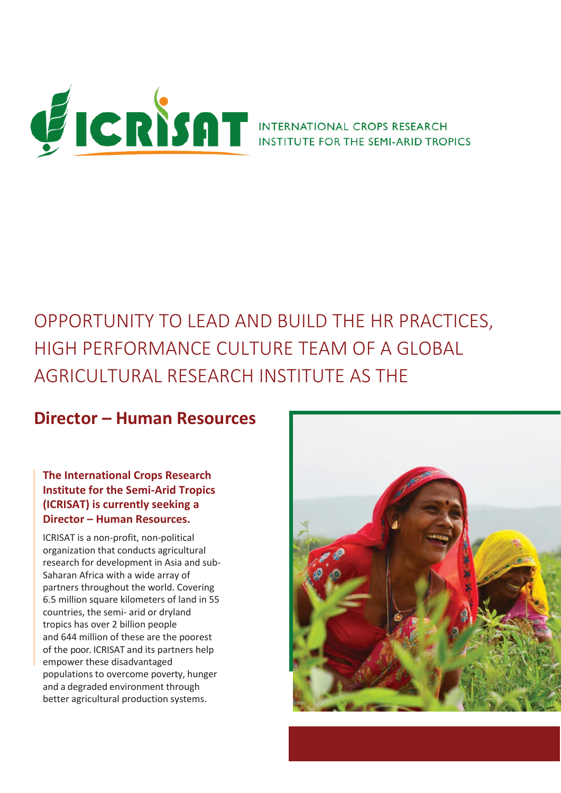

# OPPORTUNITY TO LEAD AND BUILD THE HR PRACTICES, HIGH PERFORMANCE CULTURE TEAM OF A GLOBAL AGRICULTURAL RESEARCH INSTITUTE AS THE

# **Director – Human Resources**

#### **The International Crops Research Institute for the Semi-Arid Tropics (ICRISAT) is currently seeking a Director – Human Resources.**

ICRISAT is a non-profit, non-political organization that conducts agricultural research for development in Asia and sub-Saharan Africa with a wide array of partners throughout the world. Covering 6.5 million square kilometers of land in 55 countries, the semi- arid or dryland tropics has over 2 billion people and 644 million of these are the poorest of the poor. ICRISAT and its partners help empower these disadvantaged populations to overcome poverty, hunger and a degraded environment through better agricultural production systems.

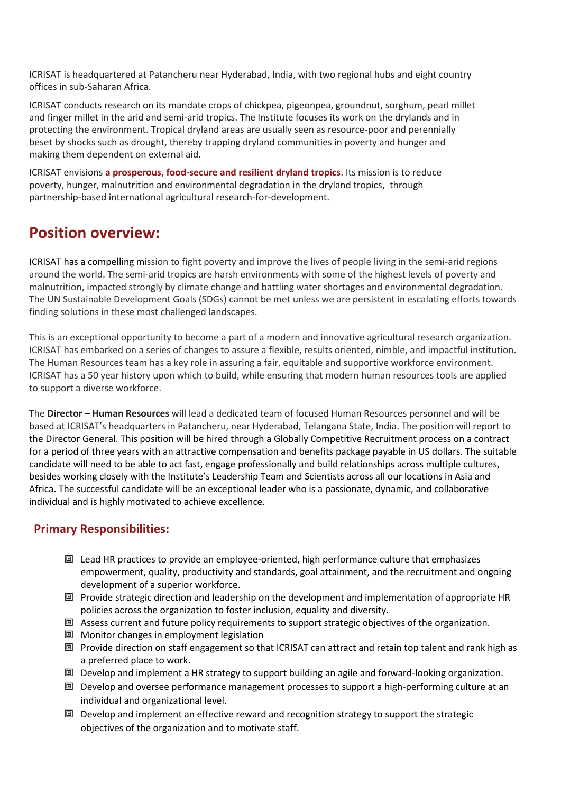ICRISAT is headquartered at Patancheru near Hyderabad, India, with two regional hubs and eight country offices in sub-Saharan Africa.

ICRISAT conducts research on its mandate crops of chickpea, pigeonpea, groundnut, sorghum, pearl millet and finger millet in the arid and semi-arid tropics. The Institute focuses its work on the drylands and in protecting the environment. Tropical dryland areas are usually seen as resource-poor and perennially beset by shocks such as drought, thereby trapping dryland communities in poverty and hunger and making them dependent on external aid.

ICRISAT envisions **a prosperous, food-secure and resilient dryland tropics**. Its mission is to reduce poverty, hunger, malnutrition and environmental degradation in the dryland tropics, through partnership-based international agricultural research-for-development.

## **Position overview:**

ICRISAT has a compelling mission to fight poverty and improve the lives of people living in the semi-arid regions around the world. The semi-arid tropics are harsh environments with some of the highest levels of poverty and malnutrition, impacted strongly by climate change and battling water shortages and environmental degradation. The UN Sustainable Development Goals (SDGs) cannot be met unless we are persistent in escalating efforts towards finding solutions in these most challenged landscapes.

This is an exceptional opportunity to become a part of a modern and innovative agricultural research organization. ICRISAT has embarked on a series of changes to assure a flexible, results oriented, nimble, and impactful institution. The Human Resources team has a key role in assuring a fair, equitable and supportive workforce environment. ICRISAT has a 50 year history upon which to build, while ensuring that modern human resources tools are applied to support a diverse workforce.

The **Director – Human Resources** will lead a dedicated team of focused Human Resources personnel and will be based at ICRISAT's headquarters in Patancheru, near Hyderabad, Telangana State, India. The position will report to the Director General. This position will be hired through a Globally Competitive Recruitment process on a contract for a period of three years with an attractive compensation and benefits package payable in US dollars. The suitable candidate will need to be able to act fast, engage professionally and build relationships across multiple cultures, besides working closely with the Institute's Leadership Team and Scientists across all our locations in Asia and Africa. The successful candidate will be an exceptional leader who is a passionate, dynamic, and collaborative individual and is highly motivated to achieve excellence.

### **Primary Responsibilities:**

- Lead HR practices to provide an employee-oriented, high performance culture that emphasizes empowerment, quality, productivity and standards, goal attainment, and the recruitment and ongoing development of a superior workforce.
- $\Box$  Provide strategic direction and leadership on the development and implementation of appropriate HR policies across the organization to foster inclusion, equality and diversity.
- Assess current and future policy requirements to support strategic objectives of the organization.
- Monitor changes in employment legislation
- Provide direction on staff engagement so that ICRISAT can attract and retain top talent and rank high as a preferred place to work.
- 回 Develop and implement a HR strategy to support building an agile and forward-looking organization.
- 回 Develop and oversee performance management processes to support a high-performing culture at an individual and organizational level.
- 回 Develop and implement an effective reward and recognition strategy to support the strategic objectives of the organization and to motivate staff.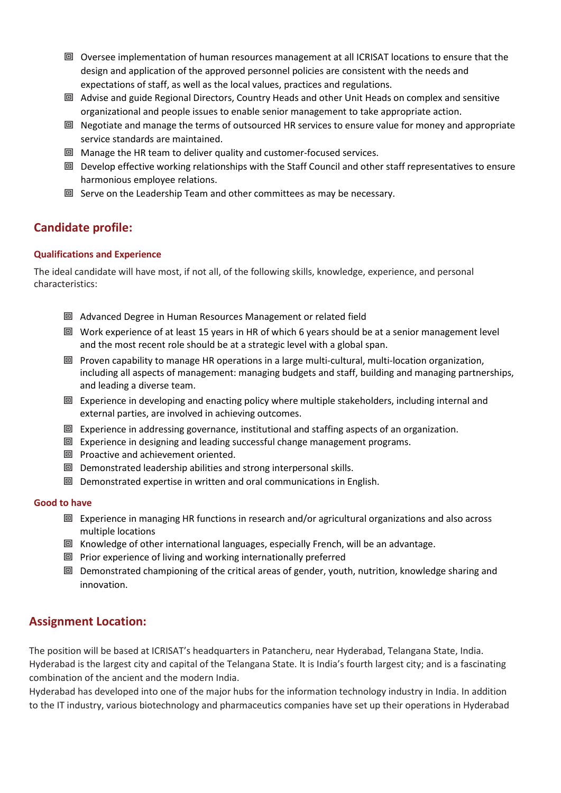- Oversee implementation of human resources management at all ICRISAT locations to ensure that the design and application of the approved personnel policies are consistent with the needs and expectations of staff, as well as the local values, practices and regulations.
- Advise and guide Regional Directors, Country Heads and other Unit Heads on complex and sensitive organizational and people issues to enable senior management to take appropriate action.
- 回 Negotiate and manage the terms of outsourced HR services to ensure value for money and appropriate service standards are maintained.
- Manage the HR team to deliver quality and customer-focused services.
- 回 Develop effective working relationships with the Staff Council and other staff representatives to ensure harmonious employee relations.
- $\square$  Serve on the Leadership Team and other committees as may be necessary.

#### **Candidate profile:**

#### **Qualifications and Experience**

The ideal candidate will have most, if not all, of the following skills, knowledge, experience, and personal characteristics:

- Advanced Degree in Human Resources Management or related field
- Work experience of at least 15 years in HR of which 6 years should be at a senior management level and the most recent role should be at a strategic level with a global span.
- 回 Proven capability to manage HR operations in a large multi-cultural, multi-location organization, including all aspects of management: managing budgets and staff, building and managing partnerships, and leading a diverse team.
- Experience in developing and enacting policy where multiple stakeholders, including internal and external parties, are involved in achieving outcomes.
- **回** Experience in addressing governance, institutional and staffing aspects of an organization.
- 回 Experience in designing and leading successful change management programs.
- **回** Proactive and achievement oriented.
- 回 Demonstrated leadership abilities and strong interpersonal skills.
- 回 Demonstrated expertise in written and oral communications in English.

#### **Good to have**

- 回 Experience in managing HR functions in research and/or agricultural organizations and also across multiple locations
- Knowledge of other international languages, especially French, will be an advantage.
- 回 Prior experience of living and working internationally preferred
- 回 Demonstrated championing of the critical areas of gender, youth, nutrition, knowledge sharing and innovation.

#### **Assignment Location:**

The position will be based at ICRISAT's headquarters in Patancheru, near Hyderabad, Telangana State, India. Hyderabad is the largest city and capital of the Telangana State. It is India's fourth largest city; and is a fascinating combination of the ancient and the modern India.

Hyderabad has developed into one of the major hubs for the information technology industry in India. In addition to the IT industry, various biotechnology and pharmaceutics companies have set up their operations in Hyderabad